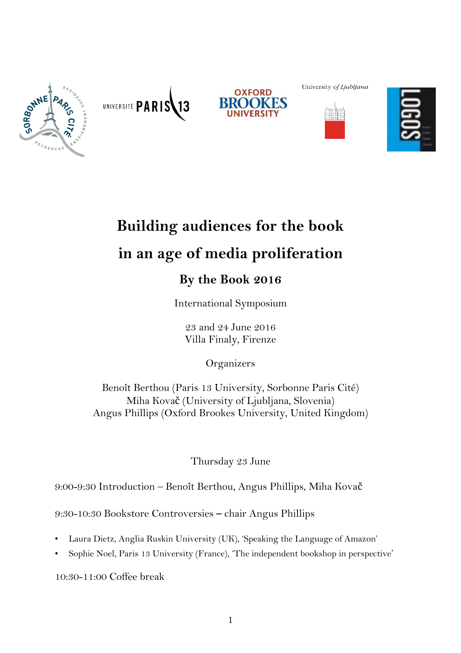





University of Ljubljana





# **Building audiences for the book in an age of media proliferation**

# **By the Book 2016**

International Symposium

23 and 24 June 2016 Villa Finaly, Firenze

**Organizers** 

Benoît Berthou (Paris 13 University, Sorbonne Paris Cité) Miha Kovač (University of Ljubljana, Slovenia) Angus Phillips (Oxford Brookes University, United Kingdom)

Thursday 23 June

9:00-9:30 Introduction – Benoît Berthou, Angus Phillips, Miha Kovač

9:30-10:30 Bookstore Controversies – chair Angus Phillips

- Laura Dietz, Anglia Ruskin University (UK), 'Speaking the Language of Amazon'
- Sophie Noel, Paris 13 University (France), 'The independent bookshop in perspective'

10:30-11:00 Coffee break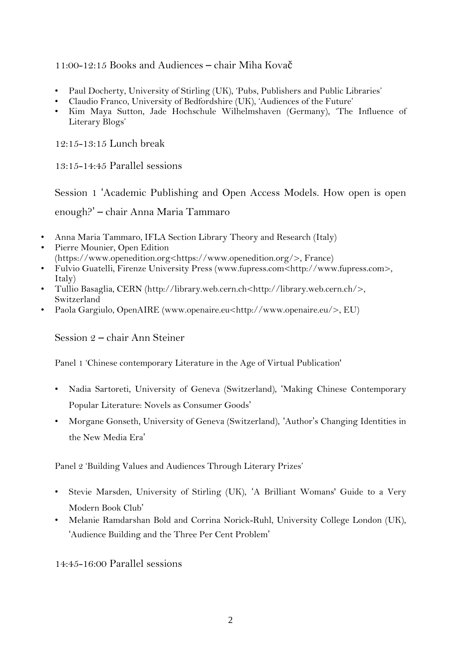#### 11:00-12:15 Books and Audiences – chair Miha Kovač

- Paul Docherty, University of Stirling (UK), 'Pubs, Publishers and Public Libraries'
- Claudio Franco, University of Bedfordshire (UK), 'Audiences of the Future'
- Kim Maya Sutton, Jade Hochschule Wilhelmshaven (Germany), 'The Influence of Literary Blogs'

12:15-13:15 Lunch break

13:15-14:45 Parallel sessions

Session 1 'Academic Publishing and Open Access Models. How open is open enough?' – chair Anna Maria Tammaro

- Anna Maria Tammaro, IFLA Section Library Theory and Research (Italy)
- Pierre Mounier, Open Edition (https://www.openedition.org<https://www.openedition.org/>, France)
- Fulvio Guatelli, Firenze University Press (www.fupress.com<http://www.fupress.com>, Italy)
- Tullio Basaglia, CERN (http://library.web.cern.ch<http://library.web.cern.ch/>, Switzerland
- Paola Gargiulo, OpenAIRE (www.openaire.eu<http://www.openaire.eu/>, EU)

Session 2 – chair Ann Steiner

Panel 1 'Chinese contemporary Literature in the Age of Virtual Publication'

- Nadia Sartoreti, University of Geneva (Switzerland), 'Making Chinese Contemporary Popular Literature: Novels as Consumer Goods'
- Morgane Gonseth, University of Geneva (Switzerland), 'Author's Changing Identities in the New Media Era'

Panel 2 'Building Values and Audiences Through Literary Prizes'

- Stevie Marsden, University of Stirling (UK), 'A Brilliant Womans' Guide to a Very Modern Book Club'
- Melanie Ramdarshan Bold and Corrina Norick-Ruhl, University College London (UK), 'Audience Building and the Three Per Cent Problem'

14:45-16:00 Parallel sessions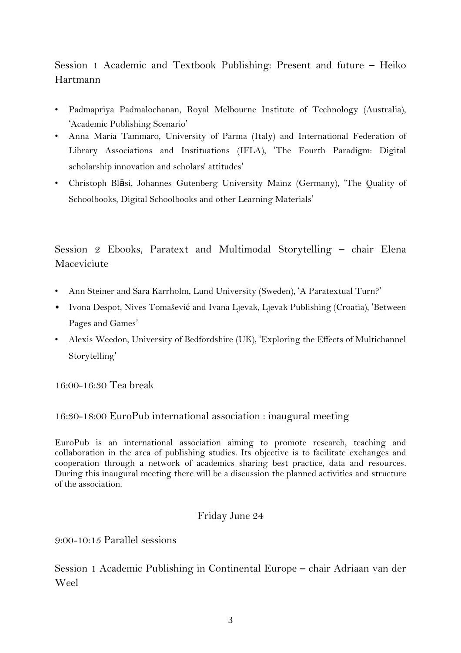Session 1 Academic and Textbook Publishing: Present and future – Heiko Hartmann

- Padmapriya Padmalochanan, Royal Melbourne Institute of Technology (Australia), 'Academic Publishing Scenario'
- Anna Maria Tammaro, University of Parma (Italy) and International Federation of Library Associations and Instituations (IFLA), 'The Fourth Paradigm: Digital scholarship innovation and scholars' attitudes'
- Christoph Bläsi, Johannes Gutenberg University Mainz (Germany), 'The Quality of Schoolbooks, Digital Schoolbooks and other Learning Materials'

# Session 2 Ebooks, Paratext and Multimodal Storytelling – chair Elena Maceviciute

- Ann Steiner and Sara Karrholm, Lund University (Sweden), 'A Paratextual Turn?'
- Ivona Despot, Nives Tomašević and Ivana Ljevak, Ljevak Publishing (Croatia), 'Between Pages and Games'
- Alexis Weedon, University of Bedfordshire (UK), 'Exploring the Effects of Multichannel Storytelling'

16:00-16:30 Tea break

## 16:30-18:00 EuroPub international association : inaugural meeting

EuroPub is an international association aiming to promote research, teaching and collaboration in the area of publishing studies. Its objective is to facilitate exchanges and cooperation through a network of academics sharing best practice, data and resources. During this inaugural meeting there will be a discussion the planned activities and structure of the association.

## Friday June 24

9:00-10:15 Parallel sessions

Session 1 Academic Publishing in Continental Europe – chair Adriaan van der Weel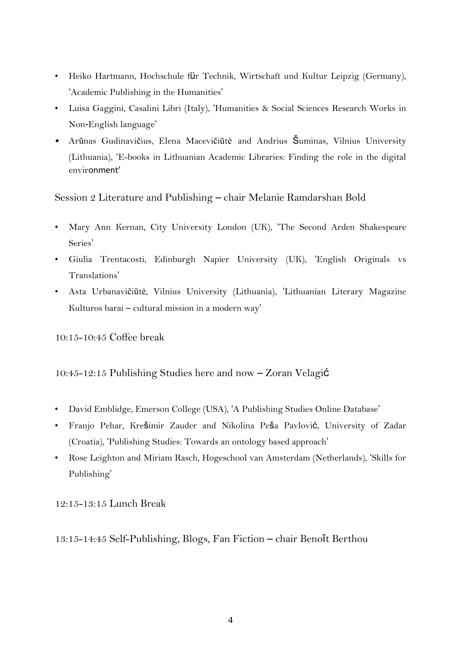- Heiko Hartmann, Hochschule für Technik, Wirtschaft und Kultur Leipzig (Germany), 'Academic Publishing in the Humanities'
- Luisa Gaggini, Casalini Libri (Italy), 'Humanities & Social Sciences Research Works in Non-English language'
- Arūnas Gudinavičius, Elena Macevičiūtė and Andrius Šuminas, Vilnius University (Lithuania), 'E-books in Lithuanian Academic Libraries: Finding the role in the digital environment'

#### Session 2 Literature and Publishing – chair Melanie Ramdarshan Bold

- Mary Ann Kernan, City University London (UK), 'The Second Arden Shakespeare Series'
- Giulia Trentacosti, Edinburgh Napier University (UK), 'English Originals vs Translations'
- Asta Urbanavičiūtė, Vilnius University (Lithuania), 'Lithuanian Literary Magazine Kulturos barai – cultural mission in a modern way'

10:15-10:45 Coffee break

#### 10:45-12:15 Publishing Studies here and now – Zoran Velagić

- David Emblidge, Emerson College (USA), 'A Publishing Studies Online Database'
- Franjo Pehar, Krešimir Zauder and Nikolina Peša Pavlović, University of Zadar (Croatia), 'Publishing Studies: Towards an ontology based approach'
- Rose Leighton and Miriam Rasch, Hogeschool van Amsterdam (Netherlands), 'Skills for Publishing'

12:15-13:15 Lunch Break

13:15-14:45 Self-Publishing, Blogs, Fan Fiction – chair Benoît Berthou